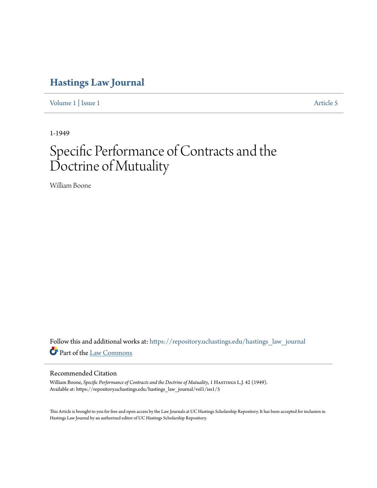## **[Hastings Law Journal](https://repository.uchastings.edu/hastings_law_journal?utm_source=repository.uchastings.edu%2Fhastings_law_journal%2Fvol1%2Fiss1%2F5&utm_medium=PDF&utm_campaign=PDFCoverPages)**

[Volume 1](https://repository.uchastings.edu/hastings_law_journal/vol1?utm_source=repository.uchastings.edu%2Fhastings_law_journal%2Fvol1%2Fiss1%2F5&utm_medium=PDF&utm_campaign=PDFCoverPages) | [Issue 1](https://repository.uchastings.edu/hastings_law_journal/vol1/iss1?utm_source=repository.uchastings.edu%2Fhastings_law_journal%2Fvol1%2Fiss1%2F5&utm_medium=PDF&utm_campaign=PDFCoverPages) [Article 5](https://repository.uchastings.edu/hastings_law_journal/vol1/iss1/5?utm_source=repository.uchastings.edu%2Fhastings_law_journal%2Fvol1%2Fiss1%2F5&utm_medium=PDF&utm_campaign=PDFCoverPages)

1-1949

# Specific Performance of Contracts and the Doctrine of Mutuality

William Boone

Follow this and additional works at: [https://repository.uchastings.edu/hastings\\_law\\_journal](https://repository.uchastings.edu/hastings_law_journal?utm_source=repository.uchastings.edu%2Fhastings_law_journal%2Fvol1%2Fiss1%2F5&utm_medium=PDF&utm_campaign=PDFCoverPages) Part of the [Law Commons](http://network.bepress.com/hgg/discipline/578?utm_source=repository.uchastings.edu%2Fhastings_law_journal%2Fvol1%2Fiss1%2F5&utm_medium=PDF&utm_campaign=PDFCoverPages)

### Recommended Citation

William Boone, *Specific Performance of Contracts and the Doctrine of Mutuality*, 1 HASTINGS L.J. 42 (1949). Available at: https://repository.uchastings.edu/hastings\_law\_journal/vol1/iss1/5

This Article is brought to you for free and open access by the Law Journals at UC Hastings Scholarship Repository. It has been accepted for inclusion in Hastings Law Journal by an authorized editor of UC Hastings Scholarship Repository.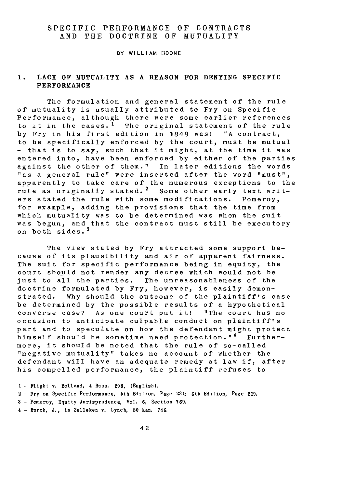#### SPECIFIC PERFORMANCE OF CONTRACTS AND THE DOCTRINE OF MUTUALITY

BY WILLIAM BOONE

#### **1.** LACK OF MUTUALITY **AS A REASON** FOR DENYING SPECIFIC PERFORMANCE

The formulation and general statement of the rule of mutuality is usually attributed to Fry on Specific Performance, although there were some earlier references to it in the cases.<sup>1</sup> The original statement of the rule by Fry in his first edition in 1848 was: **"A** contract, to be specifically enforced by the court, must be mutual - that is to say, such that it might, at the time it was entered into, have been enforced **by** either of the parties against the other of them." In later editions the words "as a general rule" were inserted after the word "must", apparently to take care of the numerous exceptions to the rule as originally stated.<sup>2</sup> Some other early text writers stated the rule with some modifications. Pomeroy, for example, adding the provisions that the time from which mutuality was to be determined was when the suit was begun, and that the contract must still be executory on both sides. <sup>3</sup>

The view stated by Fry attracted some support because of its plausibility and air of apparent fairness. The suit for specific performance being in equity, the court should not render any decree which would not be just to all the parties. The unreasonableness of the doctrine formulated by Fry, however, is easily demonstrated. Why should the outcome of the plaintiff's case be determined by the possible results of a hypothetical converse case? As one court put it: "The court has no occasion to anticipate culpable conduct on plaintiff's part and to speculate on how the defendant might protect himself should he sometime need protection."<sup>4</sup> Furthermore, it should be noted that the rule of so-called "negative mutuality" takes no account of whether the defendant will have an adequate remedy at law if, after his compelled performance, the plaintiff refuses to

- Flight v. Bolland, 4 Russ. **298,** (English). - Fry on Specific Performance, 5th Edition, Page **231;** 6th Edition, Page **219.** - Pomeroy, Equity Jurisprudence, Vol. **6,** Section **769.** - Burch, J., in Zelleken v. Lynch, **80** Kan. 746.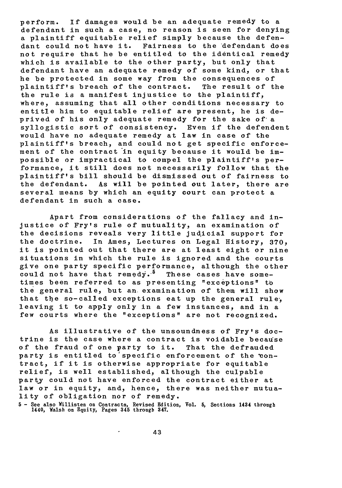perform. If damages would be an adequate remedy to a defendant in such a case, no reason is seen for denying a plaintiff equitable relief simply because the defendant could not have it. Fairness to the defendant does not require that he be entitled to the identical remedy which is available to the other party, but only that defendant have an adequate remedy of some kind, or that he be protected in some way from the consequences of plaintiff's breach of the contract. The result of the the rule is **a** manifest injustice to the plaintiff, where, assuming that all other conditions necessary to entitle him to equitable relief are present, he is deprived of his only adequate remedy for the sake of a syllogistic sort of consistency. Even if the defendent would have no adequate remedy at law in case of the plaintiff's breach, and could not get specific enforcement of the contract in equity because it would be impossible or impractical to compel the plaintiff's performance, it still does not necessarily follow that the plaintiff's bill should be dismissed out of fairness to the defendant. As will be pointed out later, there are several means by which an equity court can protect a defendant in such a case.

Apart from considerations of the fallacy and injustice of Fry's rule of mutuality, an examination of the decisions reveals very little judicial support for the doctrine. In Ames, Lectures on Legal History, **370,** it is pointed out that there are at least eight or nine situations in which the rule is ignored and the courts give one party specific performance, although the other could not have that remedy.-5 These cases have **some**times been referred to as presenting "exceptions" to the general rule, but an examination of them will show that the so-called exceptions eat up the general rule, leaving it to apply only in a few instances, and in a few courts where the "exceptions" are not recognized.

As illustrative of the unsoundness of Fry's doctrine is the case where a contract is voidable because of the fraud of one party to it. That the defrauded party is entitled to specific enforcement of the contract, if it is otherwise appropriate for equitable relief, is well established, although the culpable party could not have enforced the contract either at law or in equity, and, hence, there was neither mutuality of obligation nor of remedy.

**5 -** See also Willisten on Contracts, Revised Edition, Vol. 5, Sections 1434 through 1440, Walsh on Equity, Pages 345 through **347.**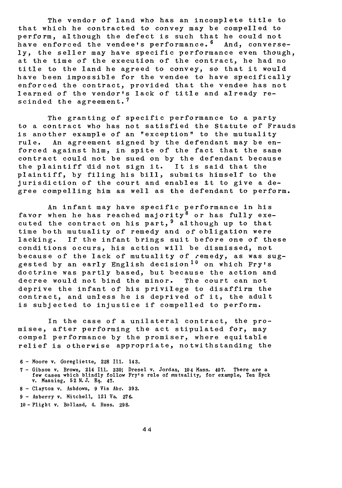The vendor of land who has an incomplete title to that which he contracted to convey may be compelled to perform, although the defect is such that he could not have enforced the vendee's performance. 6 And, conversely, the seller may have specific performance even though, at the time of the execution of the contract, he had no title to the land he agreed to convey, so that it would have been impossible for the vendee to have specifically enforced the contract, provided that the vendee has not learned of the vendor's lack of title and already rescinded the agreement.<sup>7</sup>

The granting of specific performance to a party to a contract who has not satisfied the Statute of Frauds is another example of an "exception" to the mutuality rule. An agreement signed by the defendant may be enforced against him, in spite of the fact that the same contract could not be sued on by the defendant because the plaintiff 'did not sign it. It is said that the plaintiff, by filing his bill, submits himself to the jurisdiction of the court and enables it to give a degree compelling him as well as the defendant to perform.

An infant may have specific performance in his favor when he has reached majority<sup>8</sup> or has fully executed the contract on his part,  $9$  although up to that time both mutuality of remedy and of obligation were lacking. If the infant brings suit before one of these conditions occurs, his action will be dismissed, not because of the lack of mutuality of remedy, as was suggested by an early English decision<sup>10</sup> on which Fry's doctrine was partly based, but because the action and decree would not bind the minor. The court can not deprive the infant of his privilege to disaffirm the contract, and unless he is deprived of it, the adult is subjected to injustice if compelled to perform.

In the case of a unilateral contract, the promisee, after performing the act stipulated for, may compel performance by the promiser, where equitable relief is otherwise appropriate, notwithstanding the

- **6**  Moore v. Goregliette, **228** Ill. 143.
- **7-** Gibson v. Brown, 214 Ill. **330;** Dresel v. Jordan, 104 Mass. 407. There are a few cases which blindly follow Fry's rule of mutuality, for example, Ten Eyck v. Manning, **52** N.J. **Eq.** 47.
- **8 -** Clayton v. Ashdown, **9** Vin Abr. **393.**
- **<sup>9</sup>** Asberry v. Mitchell, 121 Va. **276.**
- **<sup>10</sup>-** Flight v. Bolland, 4. Russ. **298.**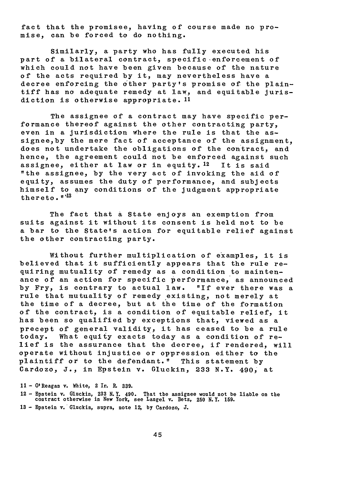fact that the promisee, having of course made no promise, can be forced to do nothing.

Similarly, a party who has fully executed his part of a bilateral contract, specific enforcement of which could not have been given because of the nature of the acts required by it, may nevertheless have a decree enforcing the other party's promise of the plaintiff has no adequate remedy at law, and equitable jurisdiction is otherwise appropriate. 11

The assignee of a contract may have specific performance thereof against the other contracting party, even in a jurisdiction Where the rule is that the assignee,by the mere fact of acceptance of the assignment, does not undertake the obligations of the contract, and hence, the agreement could not be enforced against such assignee, either at law or in equity. <sup>12</sup> It is said "the assignee, by the very act of invoking the aid of equity, assumes the duty of performance, and subjects himself to any conditions of the judgment appropriate thereto. **"'**

The fact that **a** State enjoys an exemption from suits against it without its consent is held not to be a bar to the State's action for equitable relief against the other contracting party.

Without further multiplication of examples, it is believed that it sufficiently appears that the rule requiring mutuality of remedy as a condition to maintenance of an action for specific performance, as announced by Fry, is contrary to actual law. "If ever there was a rule that mutuality of remedy existing, not merely at the time of a decree, but at the time of the formation of the contract, is a condition of equitable relief, it has been so qualified by exceptions that, viewed as a precept of general validity, it has ceased to be a rule today. What equity exacts today as a condition of relief is the assurance that the decree, if rendered, will operate without injustice or oppression either to the plaintiff or to the defendant." This statement by Cardozo, J., in Epstein v. Gluckin, **233** N.Y. 490, at

**11 -** O'Reagan v. White, 2 Ir. R. **339.**

12 **-** Epstein v. Gluckin, **233** N.Y. 490. That the assignee would not be liable on the contract otherwise in New York, see Langel v. Betz, **250** N.Y. **159.**

**13 -** Epstein v. Gluckin, supra, note **12,** by Cardozo, J.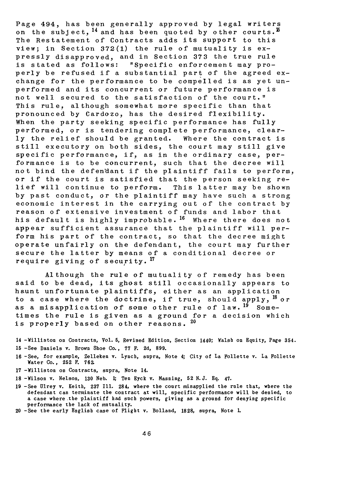Page 494, has been generally approved by legal writers on the subject,  $^{14}$  and has been quoted by other courts.  $^{15}$ The Restatement of Contracts adds its support to this view; in Section 372(1) the rule of mutuality is expressly disapproved, and in Section 373 the true rule is stated as follows: "Specific enforcement may properly be refused if a substantial part of the agreed exchange for the performance to be compelled is as yet unperformed and its concurrent or future performance is not well secured to the satisfaction of the court." This rule, although somewhat more specific than that pronounced by Cardozo, has the desired flexibility. When the party seeking specific performance has fully performed, or is tendering complete performance, clearly the relief should be granted. Where the contract is still executory on both sides, the court may still give specific performance, if, as in the ordinary case, performance is to be concurrent, such that the decree will not bind the defendant if the plaintiff fails to perform, or if the court is satisfied that the person seeking relief will continue to perform. This latter may be shown by past conduct, or the plaintiff may have such a strong economic interest in the carrying out of the contract by reason of extensive investment of funds and labor that his default is highly improbable.<sup>16</sup> Where there does not appear sufficient assurance that the plaintiff will perform his part of the contract, so that the decree might operate unfairly on the defendant, the court may further secure the latter by means of a conditional decree or require giving of security. **<sup>17</sup>**

Although the rule of mutuality of remedy has been said to be dead, its ghost still occasionally appears to haunt unfortunate plaintiffs, either as an application to a case where the doctrine, if true, should apply, 18 or as a misapplication of some other rule of law. <sup>19</sup> Sometimes the rule is given as a ground for a decision which is properly based on other reasons. 20

- 14 -Williston on Contracts, Vol. **5,** Revised Edition, Section 1440; Walsh on Equity, Page 354.
- **<sup>15</sup>**-See Daniels v. Brown Shoe Co., **77** F. 2d, **899.**
- **16** -See, for example, Zelleken v. Lynch, supra, Note 4; City of La Follette v. La Follette Water Co., **252** F. **762.**
- **17** -Williston on Contracts, supra, Note 14.
- **18** -Wilson v. Nelson, **130** Neb. **1;** Ten Eyck v. Manning, **52 N.J. Eq.** 47.
- **19** -See Ulrey v. Keith, **237** Ill. 284, where the court misapplied the rule that, where the defendant can terminate the contract at will, specific performance will be denied, to a case where the plaintiff had such powers, giving as a ground for denying specific performance the lack of mutuality.
- 20 -See the early English case of Flight v. Bolland, **1828,** supra, Note **L**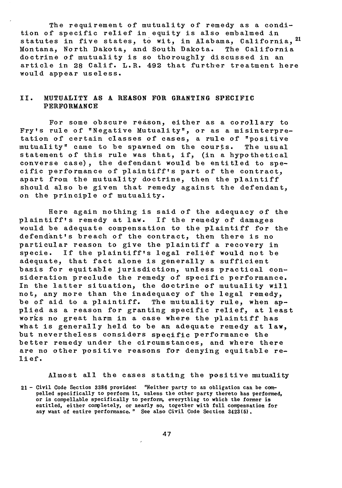The requirement of mutuality of remedy as a condition of specific relief in equity is also embalmed in statutes in five states, to wit, in Alabama, California, 21 Montana, North Dakota, and South Dakota. The California doctrine of mutuality is so thoroughly discussed in an article in **28** Calif. L.R. 492 that further treatment here would appear useless.

#### II. MUTUALITY **AS A REASON** FOR GRANTING SPECIFIC PERFORMANCE

For some obscure reason, either as a corollary to Fry's rule of "Negative Mutuality", or as a misinterpretation of certain classes of cases, a rule of "positive mutuality" came to be spawned on the courts. The usual statement of this rule was that, if, (in a hypothetical converse case), the defendant would be entitled to specific performance of plaintiff's part of the contract, apart from the mutuality doctrine, then the plaintiff should also be given that remedy against the defendant, on the principle of mutuality.

Here again nothing is said of the adequacy of the plaintiff's remedy at law. If the remedy of damages would be adequate compensation to the plaintiff for the defendant's breach of the contract, then there is no particular reason to give the plaintiff a recovery in specie. If the plaintiff's legal relief would not be adequate, that fact alone is generally a sufficient basis for equitable jurisdiction, unless practical consideration preclude the remedy of specific performance. In the latter situation, the doctrine of mutuality will not, any more than the inadequacy of the legal remedy, be of aid to a plaintiff. The mutuality rule, when applied as a reason for granting specific relief, at least works no great harm in a case where the plaintiff has what is generally held to be an adequate remedy at law, but nevertheless considers specific performance the better remedy under the circumstances, and where there are no other positive reasons for denying equitable relief.

Almost all the cases stating the positive mutuality

21 - Civil Code Section **3386** provides: "Neither party to an obligation can be com- pelled specifically to perform it, unless the other party thereto has performed, or is compellable specifically to perform, everything to which the former is entitled, either completely, or nearly so, together with full compensation for any want of entire performance. " See also Civil Code Section 3423(5).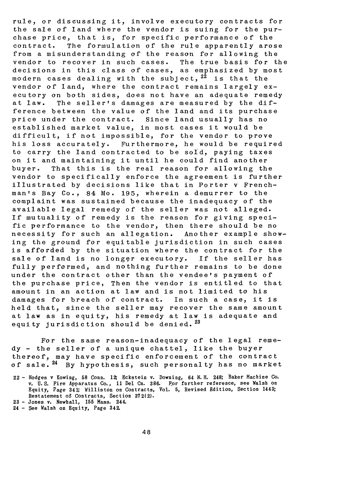rule, or discussing it, involve executory contracts for the sale of land where the vendor is suing for the purchase price, that is, for specific performance of the contract. The formulation of the rule apparently arose from a misunderstanding of the reason for allowing the vendor to recover in such cases. The true basis for the decisions in this class of cases, as emphasized by most modern cases dealing with the subject,  $2^2$  is that the vendor of land, where the contract remains largely executory on both sides, does not have an adequate remedy at law. The seller's damages are measured by the difference between the value of the land and its purchase price under the contract. Since land usually has no established market value, in most cases it would be difficult, if not impossible, for the vendor to prove his loss accurately. Furthermore, he would be required to carry the land contracted to be sold, paying taxes on it and maintaining it until he could find another buyer. That this is the real reason for allowing the vendor to specifically enforce the agreement is further illustrated by decisions like that in Porter v Frenchman's Bay Co., 84 Mo. 195, wherein a demurrer to the complaint was sustained because the inadequacy of the available legal remedy of the seller was not alleged. If mutuality of remedy is the reason for giving specific performance to the vendor, then there should be no necessity for such an allegation. Another example showing the ground for equitable jurisdiction in such cases is afforded by the situation where the contract for the sale of land is no longer executory. If the seller has fully performed, and nothing further remains to be done under the contract other than the vendee's payment of the purchase price, Then the vendor is entitled to that amount in an action at law and is not limited to his damages for breach of contract. In such a case, it is held that, since the seller may recover the same amount at law as in equity, his remedy at law is adequate and equity jurisdiction should be denied.  $23$ 

For the same reason-inadequacy of the legal remedy - the seller of a unique chattel, like the buyer thereof, may have specific enforcement of the contract of sale. <sup>24</sup> By hypothesis, such personalty has no market

24 **-** See Walsh on Equity, Page 342.

<sup>22</sup> **-** Hodges v Kowing, 58 Conn. 12 Eckstein v. Downing, **64** N.H. 248; Baker Machine Co. v. **U. S.** Fire Apparatus Co., 11 Del **Cn. 386.** For further reference, see Walsh on Equity, Page 341; Williston on Contracts, Vol. **5,** Revised Edition, Section 1443; Restatement of Contracts, Section **372(2).**

**<sup>23</sup> -** Jones v. Newhall, **155** Mass. 244.